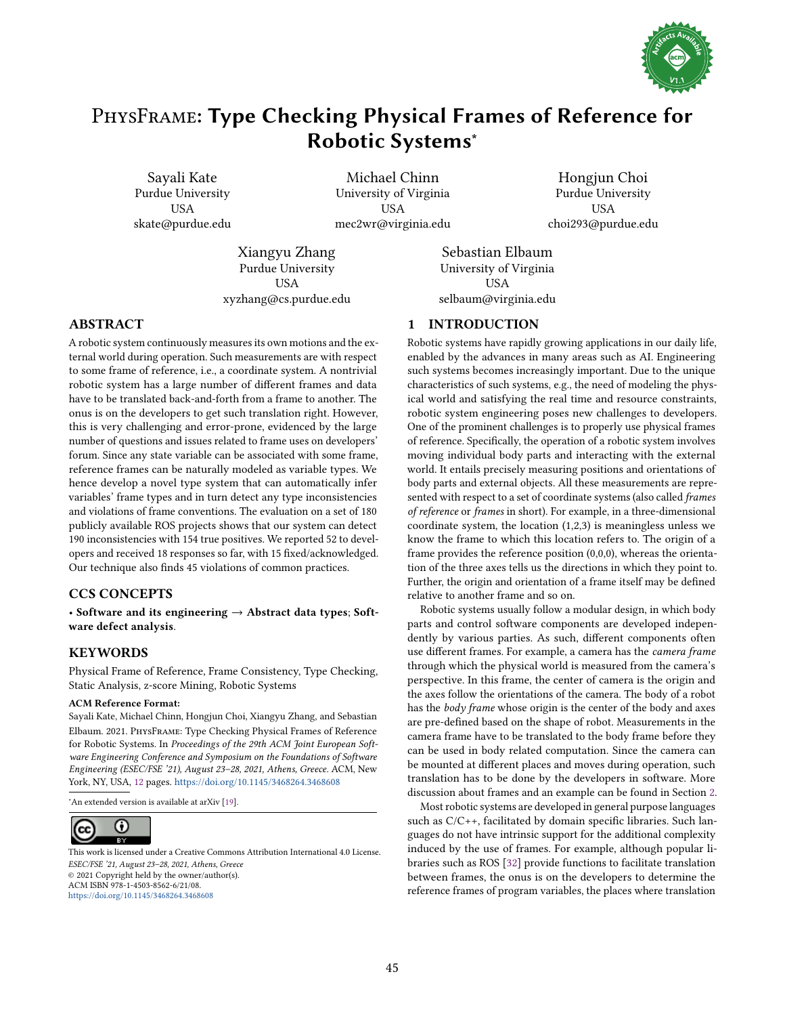

# PhysFrame: Type Checking Physical Frames of Reference for Robotic Systems<sup>∗</sup>

Sayali Kate Purdue University USA skate@purdue.edu

Michael Chinn University of Virginia **USA** mec2wr@virginia.edu

Hongjun Choi Purdue University USA choi293@purdue.edu

Xiangyu Zhang Purdue University USA xyzhang@cs.purdue.edu

Sebastian Elbaum University of Virginia USA selbaum@virginia.edu

# ABSTRACT

A robotic system continuously measures its own motions and the external world during operation. Such measurements are with respect to some frame of reference, i.e., a coordinate system. A nontrivial robotic system has a large number of different frames and data have to be translated back-and-forth from a frame to another. The onus is on the developers to get such translation right. However, this is very challenging and error-prone, evidenced by the large number of questions and issues related to frame uses on developers' forum. Since any state variable can be associated with some frame, reference frames can be naturally modeled as variable types. We hence develop a novel type system that can automatically infer variables' frame types and in turn detect any type inconsistencies and violations of frame conventions. The evaluation on a set of 180 publicly available ROS projects shows that our system can detect 190 inconsistencies with 154 true positives. We reported 52 to developers and received 18 responses so far, with 15 fixed/acknowledged. Our technique also finds 45 violations of common practices.

# CCS CONCEPTS

• Software and its engineering  $\rightarrow$  Abstract data types; Software defect analysis.

# KEYWORDS

Physical Frame of Reference, Frame Consistency, Type Checking, Static Analysis, z-score Mining, Robotic Systems

## ACM Reference Format:

Sayali Kate, Michael Chinn, Hongjun Choi, Xiangyu Zhang, and Sebastian Elbaum. 2021. PhysFrame: Type Checking Physical Frames of Reference for Robotic Systems. In Proceedings of the 29th ACM Joint European Software Engineering Conference and Symposium on the Foundations of Software Engineering (ESEC/FSE '21), August 23-28, 2021, Athens, Greece. ACM, New York, NY, USA, [12](#page-11-0) pages. <https://doi.org/10.1145/3468264.3468608>

<sup>∗</sup>An extended version is available at arXiv [\[19\].](#page-11-1)



ESEC/FSE '21, August 23-28, 2021, Athens, Greece © 2021 Copyright held by the owner/author(s). ACM ISBN 978-1-4503-8562-6/21/08. <https://doi.org/10.1145/3468264.3468608> [This work is licensed under a Creative Commons Attribution International 4.0 License.](https://creativecommons.org/licenses/by/4.0/)

# 1 INTRODUCTION

Robotic systems have rapidly growing applications in our daily life, enabled by the advances in many areas such as AI. Engineering such systems becomes increasingly important. Due to the unique characteristics of such systems, e.g., the need of modeling the physical world and satisfying the real time and resource constraints, robotic system engineering poses new challenges to developers. One of the prominent challenges is to properly use physical frames of reference. Specifically, the operation of a robotic system involves moving individual body parts and interacting with the external world. It entails precisely measuring positions and orientations of body parts and external objects. All these measurements are represented with respect to a set of coordinate systems (also called frames of reference or frames in short). For example, in a three-dimensional coordinate system, the location (1,2,3) is meaningless unless we know the frame to which this location refers to. The origin of a frame provides the reference position (0,0,0), whereas the orientation of the three axes tells us the directions in which they point to. Further, the origin and orientation of a frame itself may be defined relative to another frame and so on.

Robotic systems usually follow a modular design, in which body parts and control software components are developed independently by various parties. As such, different components often use different frames. For example, a camera has the camera frame through which the physical world is measured from the camera's perspective. In this frame, the center of camera is the origin and the axes follow the orientations of the camera. The body of a robot has the body frame whose origin is the center of the body and axes are pre-defined based on the shape of robot. Measurements in the camera frame have to be translated to the body frame before they can be used in body related computation. Since the camera can be mounted at different places and moves during operation, such translation has to be done by the developers in software. More discussion about frames and an example can be found in Section [2.](#page-1-0)

Most robotic systems are developed in general purpose languages such as C/C++, facilitated by domain specific libraries. Such languages do not have intrinsic support for the additional complexity induced by the use of frames. For example, although popular libraries such as ROS [\[32\]](#page-11-2) provide functions to facilitate translation between frames, the onus is on the developers to determine the reference frames of program variables, the places where translation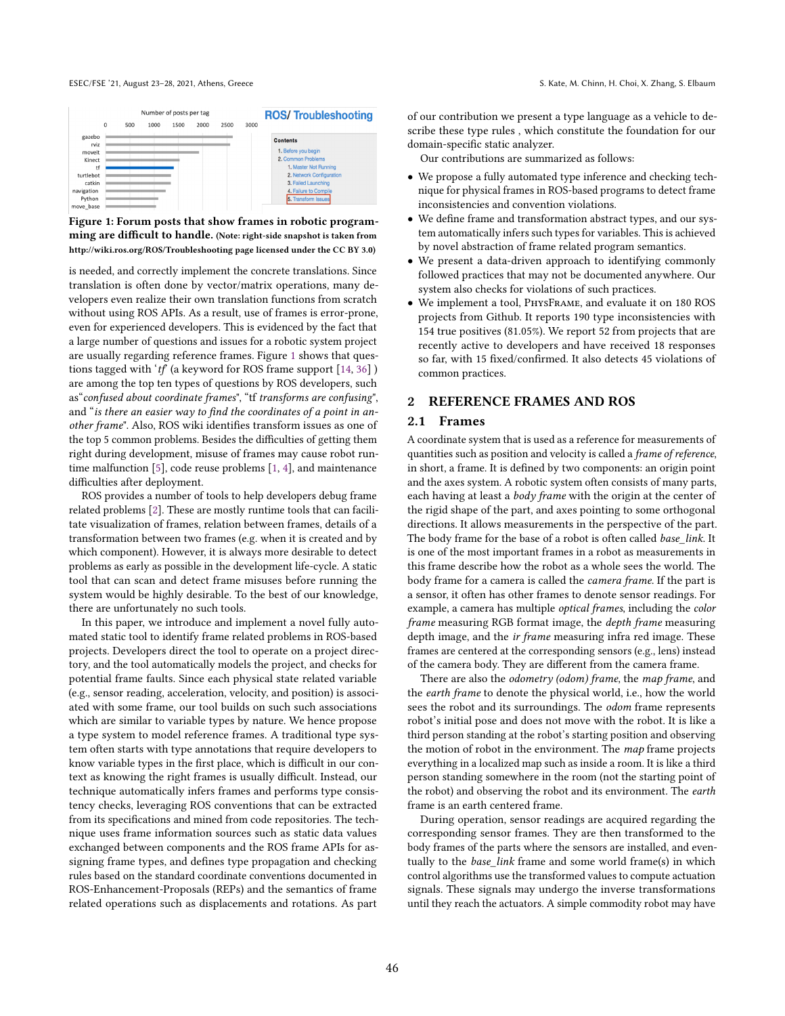#### ESEC/FSE '21, August 23-28, 2021, Athens, Greece S. Kate, M. Chinn, H. Choi, X. Zhang, S. Elbaum

<span id="page-1-1"></span>

|                     |   |     | Number of posts per tag |      |      | <b>ROS/Troubleshooting</b> |      |                                                   |  |
|---------------------|---|-----|-------------------------|------|------|----------------------------|------|---------------------------------------------------|--|
|                     | 0 | 500 | 1000                    | 1500 | 2000 | 2500                       | 3000 |                                                   |  |
| gazebo<br>rviz      |   |     |                         |      |      |                            |      | <b>Contents</b>                                   |  |
| moveit              |   |     |                         |      |      |                            |      | 1. Before you begin                               |  |
| Kinect              |   |     |                         |      |      |                            |      | 2. Common Problems                                |  |
| tf<br>turtlebot     |   |     |                         |      |      |                            |      | 1. Master Not Running<br>2. Network Configuration |  |
| catkin              |   |     |                         |      |      |                            |      | 3. Failed Launching                               |  |
| navigation          |   |     |                         |      |      |                            |      | 4. Failure to Compile                             |  |
| Python<br>move base |   |     |                         |      |      |                            |      | 5. Transform Issues                               |  |

Figure 1: Forum posts that show frames in robotic programming are difficult to handle. (Note: right-side snapshot is taken from http://wiki.ros.org/ROS/Troubleshooting page licensed under the CC BY 3.0)

is needed, and correctly implement the concrete translations. Since translation is often done by vector/matrix operations, many developers even realize their own translation functions from scratch without using ROS APIs. As a result, use of frames is error-prone, even for experienced developers. This is evidenced by the fact that a large number of questions and issues for a robotic system project are usually regarding reference frames. Figure [1](#page-1-1) shows that questions tagged with ' $tf$  (a keyword for ROS frame support [\[14,](#page-11-3) [36\]](#page-11-4)) are among the top ten types of questions by ROS developers, such as" confused about coordinate frames", "tf transforms are confusing", and "is there an easier way to find the coordinates of a point in another frame". Also, ROS wiki identifies transform issues as one of the top 5 common problems. Besides the difficulties of getting them right during development, misuse of frames may cause robot runtime malfunction [\[5\]](#page-11-5), code reuse problems [\[1,](#page-11-6) [4\]](#page-11-7), and maintenance difficulties after deployment.

ROS provides a number of tools to help developers debug frame related problems [\[2\]](#page-11-8). These are mostly runtime tools that can facilitate visualization of frames, relation between frames, details of a transformation between two frames (e.g. when it is created and by which component). However, it is always more desirable to detect problems as early as possible in the development life-cycle. A static tool that can scan and detect frame misuses before running the system would be highly desirable. To the best of our knowledge, there are unfortunately no such tools.

In this paper, we introduce and implement a novel fully automated static tool to identify frame related problems in ROS-based projects. Developers direct the tool to operate on a project directory, and the tool automatically models the project, and checks for potential frame faults. Since each physical state related variable (e.g., sensor reading, acceleration, velocity, and position) is associated with some frame, our tool builds on such such associations which are similar to variable types by nature. We hence propose a type system to model reference frames. A traditional type system often starts with type annotations that require developers to know variable types in the first place, which is difficult in our context as knowing the right frames is usually difficult. Instead, our technique automatically infers frames and performs type consistency checks, leveraging ROS conventions that can be extracted from its specifications and mined from code repositories. The technique uses frame information sources such as static data values exchanged between components and the ROS frame APIs for assigning frame types, and defines type propagation and checking rules based on the standard coordinate conventions documented in ROS-Enhancement-Proposals (REPs) and the semantics of frame related operations such as displacements and rotations. As part

of our contribution we present a type language as a vehicle to describe these type rules , which constitute the foundation for our domain-specific static analyzer.

Our contributions are summarized as follows:

- We propose a fully automated type inference and checking technique for physical frames in ROS-based programs to detect frame inconsistencies and convention violations.
- We define frame and transformation abstract types, and our system automatically infers such types for variables. This is achieved by novel abstraction of frame related program semantics.
- We present a data-driven approach to identifying commonly followed practices that may not be documented anywhere. Our system also checks for violations of such practices.
- We implement a tool, PhysFrame, and evaluate it on 180 ROS projects from Github. It reports 190 type inconsistencies with 154 true positives (81.05%). We report 52 from projects that are recently active to developers and have received 18 responses so far, with 15 fixed/confirmed. It also detects 45 violations of common practices.

# <span id="page-1-0"></span>2 REFERENCE FRAMES AND ROS

# 2.1 Frames

A coordinate system that is used as a reference for measurements of quantities such as position and velocity is called a frame of reference, in short, a frame. It is defined by two components: an origin point and the axes system. A robotic system often consists of many parts, each having at least a body frame with the origin at the center of the rigid shape of the part, and axes pointing to some orthogonal directions. It allows measurements in the perspective of the part. The body frame for the base of a robot is often called base link. It is one of the most important frames in a robot as measurements in this frame describe how the robot as a whole sees the world. The body frame for a camera is called the camera frame. If the part is a sensor, it often has other frames to denote sensor readings. For example, a camera has multiple optical frames, including the color frame measuring RGB format image, the depth frame measuring depth image, and the ir frame measuring infra red image. These frames are centered at the corresponding sensors (e.g., lens) instead of the camera body. They are different from the camera frame.

There are also the *odometry* (odom) frame, the map frame, and the earth frame to denote the physical world, i.e., how the world sees the robot and its surroundings. The odom frame represents robot's initial pose and does not move with the robot. It is like a third person standing at the robot's starting position and observing the motion of robot in the environment. The map frame projects everything in a localized map such as inside a room. It is like a third person standing somewhere in the room (not the starting point of the robot) and observing the robot and its environment. The earth frame is an earth centered frame.

During operation, sensor readings are acquired regarding the corresponding sensor frames. They are then transformed to the body frames of the parts where the sensors are installed, and eventually to the base\_link frame and some world frame(s) in which control algorithms use the transformed values to compute actuation signals. These signals may undergo the inverse transformations until they reach the actuators. A simple commodity robot may have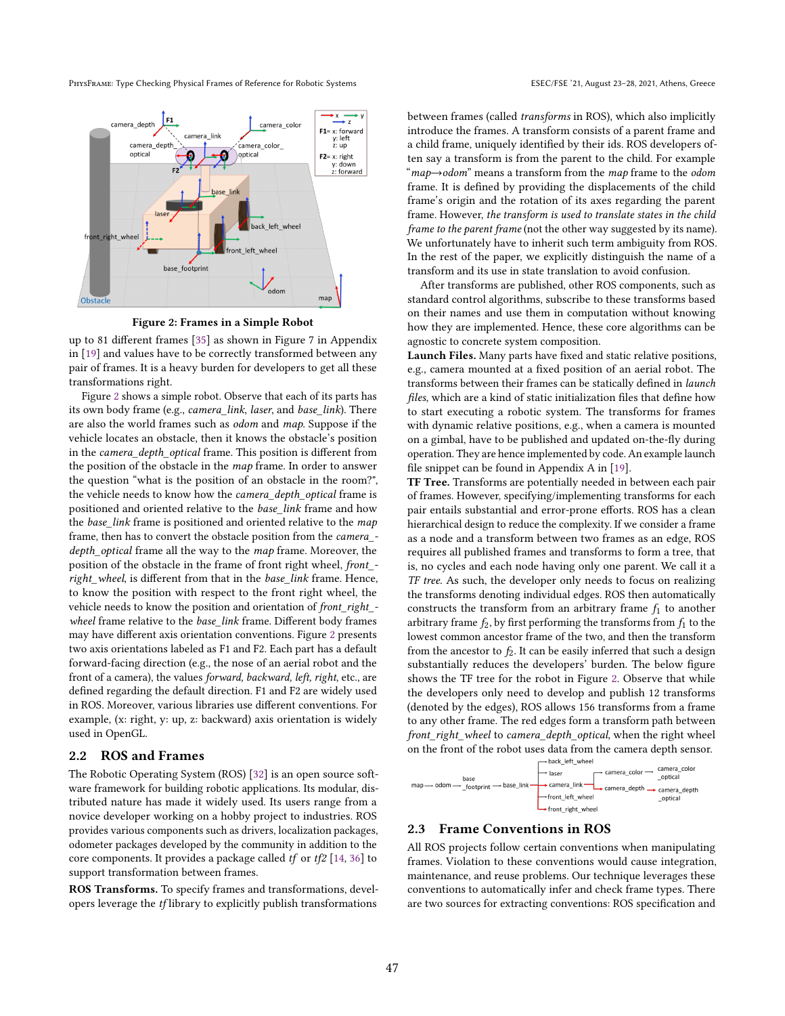PHYSFRAME: Type Checking Physical Frames of Reference for Robotic Systems ESEC/FSE '21, August 23-28, 2021, Athens, Greece

<span id="page-2-0"></span>

Figure 2: Frames in a Simple Robot

up to 81 different frames [\[35\]](#page-11-9) as shown in Figure 7 in Appendix in [\[19\]](#page-11-1) and values have to be correctly transformed between any pair of frames. It is a heavy burden for developers to get all these transformations right.

Figure [2](#page-2-0) shows a simple robot. Observe that each of its parts has its own body frame (e.g., camera\_link, laser, and base\_link). There are also the world frames such as odom and map. Suppose if the vehicle locates an obstacle, then it knows the obstacle's position in the camera\_depth\_optical frame. This position is different from the position of the obstacle in the map frame. In order to answer the question "what is the position of an obstacle in the room?", the vehicle needs to know how the camera\_depth\_optical frame is positioned and oriented relative to the base\_link frame and how the base\_link frame is positioned and oriented relative to the map frame, then has to convert the obstacle position from the camera\_ depth\_optical frame all the way to the map frame. Moreover, the position of the obstacle in the frame of front right wheel, front\_ right\_wheel, is different from that in the base\_link frame. Hence, to know the position with respect to the front right wheel, the vehicle needs to know the position and orientation of front\_right\_ wheel frame relative to the base\_link frame. Different body frames may have different axis orientation conventions. Figure [2](#page-2-0) presents two axis orientations labeled as F1 and F2. Each part has a default forward-facing direction (e.g., the nose of an aerial robot and the front of a camera), the values forward, backward, left, right, etc., are defined regarding the default direction. F1 and F2 are widely used in ROS. Moreover, various libraries use different conventions. For example, (x: right, y: up, z: backward) axis orientation is widely used in OpenGL.

## <span id="page-2-1"></span>2.2 ROS and Frames

The Robotic Operating System (ROS) [\[32\]](#page-11-2) is an open source software framework for building robotic applications. Its modular, distributed nature has made it widely used. Its users range from a novice developer working on a hobby project to industries. ROS provides various components such as drivers, localization packages, odometer packages developed by the community in addition to the core components. It provides a package called tf or tf2 [\[14,](#page-11-3) [36\]](#page-11-4) to support transformation between frames.

ROS Transforms. To specify frames and transformations, developers leverage the tf library to explicitly publish transformations

between frames (called transforms in ROS), which also implicitly introduce the frames. A transform consists of a parent frame and a child frame, uniquely identified by their ids. ROS developers often say a transform is from the parent to the child. For example  $\degree$ *map* $\rightarrow$ *odom* $\degree$  means a transform from the *map* frame to the *odom* frame. It is defined by providing the displacements of the child frame's origin and the rotation of its axes regarding the parent frame. However, the transform is used to translate states in the child frame to the parent frame (not the other way suggested by its name). We unfortunately have to inherit such term ambiguity from ROS. In the rest of the paper, we explicitly distinguish the name of a transform and its use in state translation to avoid confusion.

After transforms are published, other ROS components, such as standard control algorithms, subscribe to these transforms based on their names and use them in computation without knowing how they are implemented. Hence, these core algorithms can be agnostic to concrete system composition.

Launch Files. Many parts have fixed and static relative positions, e.g., camera mounted at a fixed position of an aerial robot. The transforms between their frames can be statically defined in launch files, which are a kind of static initialization files that define how to start executing a robotic system. The transforms for frames with dynamic relative positions, e.g., when a camera is mounted on a gimbal, have to be published and updated on-the-fly during operation. They are hence implemented by code. An example launch file snippet can be found in Appendix A in [\[19\]](#page-11-1).

TF Tree. Transforms are potentially needed in between each pair of frames. However, specifying/implementing transforms for each pair entails substantial and error-prone efforts. ROS has a clean hierarchical design to reduce the complexity. If we consider a frame as a node and a transform between two frames as an edge, ROS requires all published frames and transforms to form a tree, that is, no cycles and each node having only one parent. We call it a TF tree. As such, the developer only needs to focus on realizing the transforms denoting individual edges. ROS then automatically constructs the transform from an arbitrary frame  $f_1$  to another arbitrary frame  $f_2$ , by first performing the transforms from  $f_1$  to the lowest common ancestor frame of the two, and then the transform from the ancestor to  $f_2$ . It can be easily inferred that such a design substantially reduces the developers' burden. The below figure shows the TF tree for the robot in Figure [2.](#page-2-0) Observe that while the developers only need to develop and publish 12 transforms (denoted by the edges), ROS allows 156 transforms from a frame to any other frame. The red edges form a transform path between front right wheel to camera depth optical, when the right wheel on the front of the robot uses data from the camera depth sensor.<br> $\leftarrow$  back left wheel



#### <span id="page-2-2"></span>2.3 Frame Conventions in ROS

All ROS projects follow certain conventions when manipulating frames. Violation to these conventions would cause integration, maintenance, and reuse problems. Our technique leverages these conventions to automatically infer and check frame types. There are two sources for extracting conventions: ROS specification and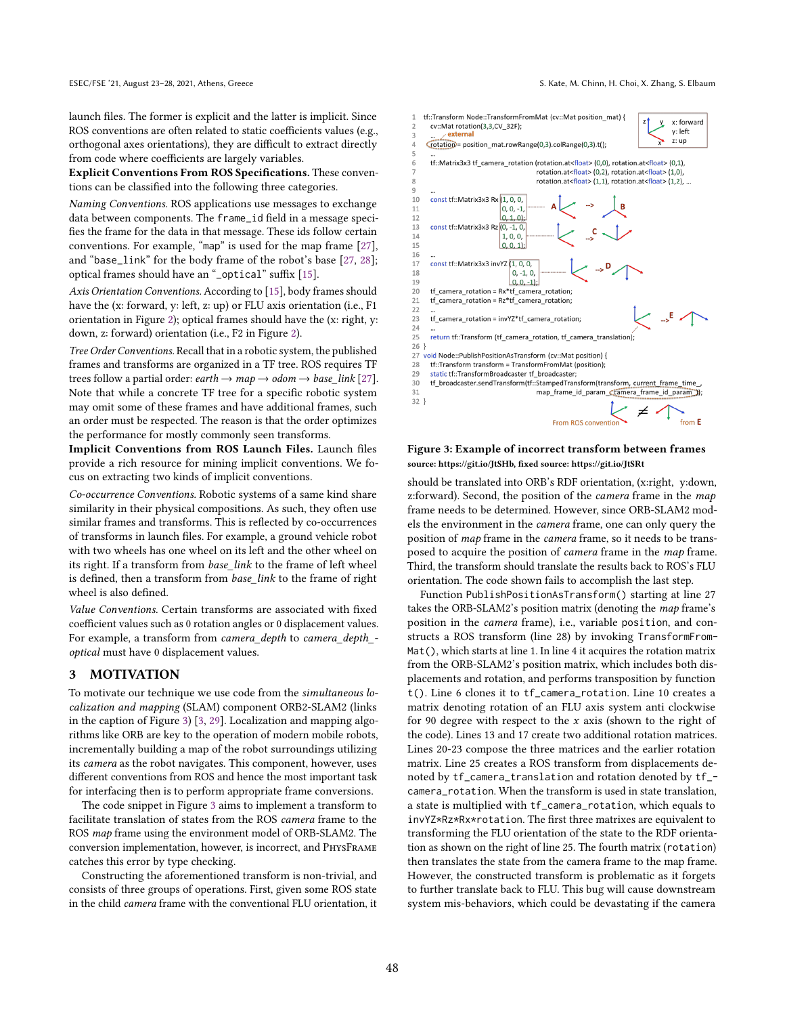launch files. The former is explicit and the latter is implicit. Since ROS conventions are often related to static coefficients values (e.g., orthogonal axes orientations), they are difficult to extract directly from code where coefficients are largely variables.

Explicit Conventions From ROS Specifications. These conventions can be classified into the following three categories.

Naming Conventions. ROS applications use messages to exchange data between components. The frame\_id field in a message specifies the frame for the data in that message. These ids follow certain conventions. For example, "map" is used for the map frame  $[27]$ , and "base\_link" for the body frame of the robot's base [\[27,](#page-11-10) [28\]](#page-11-11); optical frames should have an "\_optical" suffix [\[15\]](#page-11-12).

Axis Orientation Conventions. According to [\[15\]](#page-11-12), body frames should have the (x: forward, y: left, z: up) or FLU axis orientation (i.e., F1 orientation in Figure [2\)](#page-2-0); optical frames should have the (x: right, y: down, z: forward) orientation (i.e., F2 in Figure [2\)](#page-2-0).

Tree Order Conventions. Recall that in a robotic system, the published frames and transforms are organized in a TF tree. ROS requires TF trees follow a partial order:  $earth \rightarrow map \rightarrow odom \rightarrow base\_link$  [\[27\]](#page-11-10). Note that while a concrete TF tree for a specific robotic system may omit some of these frames and have additional frames, such an order must be respected. The reason is that the order optimizes the performance for mostly commonly seen transforms.

Implicit Conventions from ROS Launch Files. Launch files provide a rich resource for mining implicit conventions. We focus on extracting two kinds of implicit conventions.

Co-occurrence Conventions. Robotic systems of a same kind share similarity in their physical compositions. As such, they often use similar frames and transforms. This is reflected by co-occurrences of transforms in launch files. For example, a ground vehicle robot with two wheels has one wheel on its left and the other wheel on its right. If a transform from base\_link to the frame of left wheel is defined, then a transform from base\_link to the frame of right wheel is also defined.

Value Conventions. Certain transforms are associated with fixed coefficient values such as 0 rotation angles or 0 displacement values. For example, a transform from camera\_depth to camera\_depth\_ optical must have 0 displacement values.

# <span id="page-3-1"></span>3 MOTIVATION

To motivate our technique we use code from the simultaneous localization and mapping (SLAM) component ORB2-SLAM2 (links in the caption of Figure [3\)](#page-3-0) [\[3,](#page-11-13) [29\]](#page-11-14). Localization and mapping algorithms like ORB are key to the operation of modern mobile robots, incrementally building a map of the robot surroundings utilizing its camera as the robot navigates. This component, however, uses different conventions from ROS and hence the most important task for interfacing then is to perform appropriate frame conversions.

The code snippet in Figure [3](#page-3-0) aims to implement a transform to facilitate translation of states from the ROS camera frame to the ROS map frame using the environment model of ORB-SLAM2. The conversion implementation, however, is incorrect, and PhysFrame catches this error by type checking.

Constructing the aforementioned transform is non-trivial, and consists of three groups of operations. First, given some ROS state in the child camera frame with the conventional FLU orientation, it

<span id="page-3-0"></span>

#### Figure 3: Example of incorrect transform between frames source: https://git.io/JtSHb, fixed source: https://git.io/JtSRt

should be translated into ORB's RDF orientation, (x:right, y:down, z:forward). Second, the position of the *camera* frame in the map frame needs to be determined. However, since ORB-SLAM2 models the environment in the camera frame, one can only query the position of map frame in the camera frame, so it needs to be transposed to acquire the position of camera frame in the map frame. Third, the transform should translate the results back to ROS's FLU orientation. The code shown fails to accomplish the last step.

Function PublishPositionAsTransform() starting at line 27 takes the ORB-SLAM2's position matrix (denoting the map frame's position in the camera frame), i.e., variable position, and constructs a ROS transform (line 28) by invoking TransformFrom-Mat(), which starts at line 1. In line 4 it acquires the rotation matrix from the ORB-SLAM2's position matrix, which includes both displacements and rotation, and performs transposition by function t(). Line 6 clones it to tf\_camera\_rotation. Line 10 creates a matrix denoting rotation of an FLU axis system anti clockwise for 90 degree with respect to the  $x$  axis (shown to the right of the code). Lines 13 and 17 create two additional rotation matrices. Lines 20-23 compose the three matrices and the earlier rotation matrix. Line 25 creates a ROS transform from displacements denoted by tf\_camera\_translation and rotation denoted by tf\_ camera\_rotation. When the transform is used in state translation, a state is multiplied with tf\_camera\_rotation, which equals to invYZ\*Rz\*Rx\*rotation. The first three matrixes are equivalent to transforming the FLU orientation of the state to the RDF orientation as shown on the right of line 25. The fourth matrix (rotation) then translates the state from the camera frame to the map frame. However, the constructed transform is problematic as it forgets to further translate back to FLU. This bug will cause downstream system mis-behaviors, which could be devastating if the camera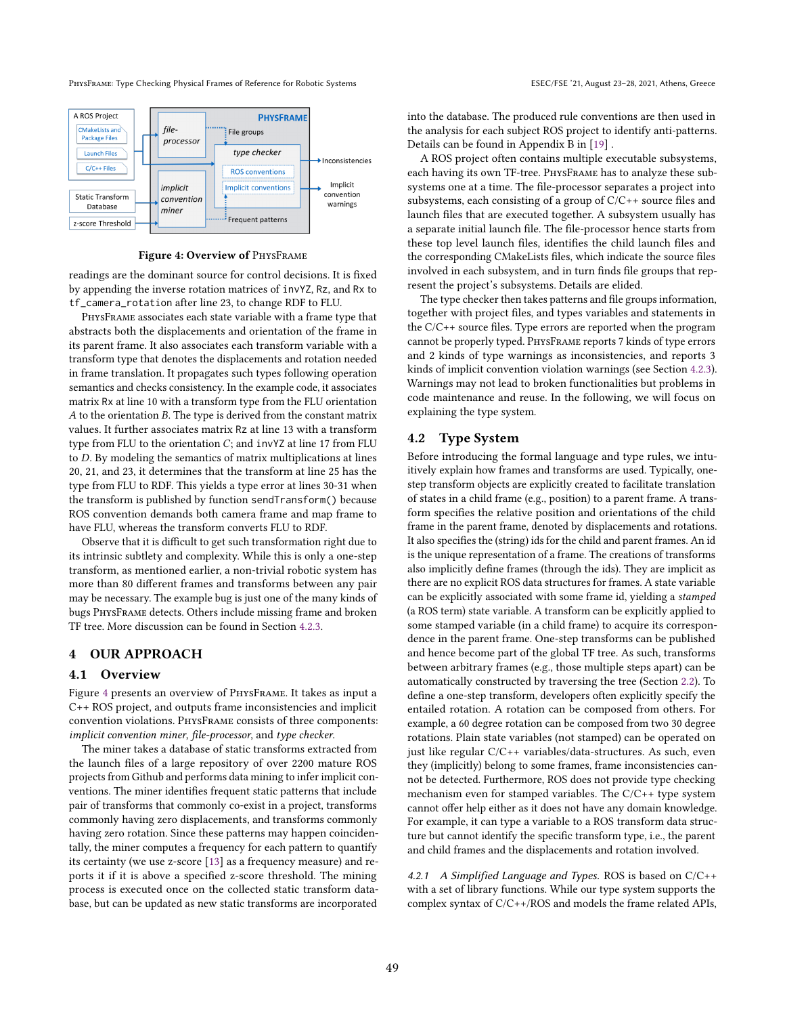PHYSFRAME: Type Checking Physical Frames of Reference for Robotic Systems ESEC/FSE '21, August 23-28, 2021, Athens, Greece

<span id="page-4-0"></span>

Figure 4: Overview of PhysFrame

readings are the dominant source for control decisions. It is fixed by appending the inverse rotation matrices of invYZ, Rz, and Rx to tf\_camera\_rotation after line 23, to change RDF to FLU.

PhysFrame associates each state variable with a frame type that abstracts both the displacements and orientation of the frame in its parent frame. It also associates each transform variable with a transform type that denotes the displacements and rotation needed in frame translation. It propagates such types following operation semantics and checks consistency. In the example code, it associates matrix Rx at line 10 with a transform type from the FLU orientation  $A$  to the orientation  $B$ . The type is derived from the constant matrix values. It further associates matrix Rz at line 13 with a transform type from FLU to the orientation  $C$ ; and invYZ at line 17 from FLU to  $D$ . By modeling the semantics of matrix multiplications at lines 20, 21, and 23, it determines that the transform at line 25 has the type from FLU to RDF. This yields a type error at lines 30-31 when the transform is published by function sendTransform() because ROS convention demands both camera frame and map frame to have FLU, whereas the transform converts FLU to RDF.

Observe that it is difficult to get such transformation right due to its intrinsic subtlety and complexity. While this is only a one-step transform, as mentioned earlier, a non-trivial robotic system has more than 80 different frames and transforms between any pair may be necessary. The example bug is just one of the many kinds of bugs PhysFrame detects. Others include missing frame and broken TF tree. More discussion can be found in Section [4.2.3.](#page-8-0)

# 4 OUR APPROACH

# 4.1 Overview

Figure [4](#page-4-0) presents an overview of PhysFrame. It takes as input a C++ ROS project, and outputs frame inconsistencies and implicit convention violations. PhysFrame consists of three components: implicit convention miner, file-processor, and type checker.

The miner takes a database of static transforms extracted from the launch files of a large repository of over 2200 mature ROS projects from Github and performs data mining to infer implicit conventions. The miner identifies frequent static patterns that include pair of transforms that commonly co-exist in a project, transforms commonly having zero displacements, and transforms commonly having zero rotation. Since these patterns may happen coincidentally, the miner computes a frequency for each pattern to quantify its certainty (we use z-score [\[13\]](#page-11-15) as a frequency measure) and reports it if it is above a specified z-score threshold. The mining process is executed once on the collected static transform database, but can be updated as new static transforms are incorporated

into the database. The produced rule conventions are then used in the analysis for each subject ROS project to identify anti-patterns. Details can be found in Appendix B in [\[19\]](#page-11-1) .

A ROS project often contains multiple executable subsystems, each having its own TF-tree. PhysFrame has to analyze these subsystems one at a time. The file-processor separates a project into subsystems, each consisting of a group of C/C++ source files and launch files that are executed together. A subsystem usually has a separate initial launch file. The file-processor hence starts from these top level launch files, identifies the child launch files and the corresponding CMakeLists files, which indicate the source files involved in each subsystem, and in turn finds file groups that represent the project's subsystems. Details are elided.

The type checker then takes patterns and file groups information, together with project files, and types variables and statements in the C/C++ source files. Type errors are reported when the program cannot be properly typed. PhysFrame reports 7 kinds of type errors and 2 kinds of type warnings as inconsistencies, and reports 3 kinds of implicit convention violation warnings (see Section [4.2.3\)](#page-8-0). Warnings may not lead to broken functionalities but problems in code maintenance and reuse. In the following, we will focus on explaining the type system.

## 4.2 Type System

Before introducing the formal language and type rules, we intuitively explain how frames and transforms are used. Typically, onestep transform objects are explicitly created to facilitate translation of states in a child frame (e.g., position) to a parent frame. A transform specifies the relative position and orientations of the child frame in the parent frame, denoted by displacements and rotations. It also specifies the (string) ids for the child and parent frames. An id is the unique representation of a frame. The creations of transforms also implicitly define frames (through the ids). They are implicit as there are no explicit ROS data structures for frames. A state variable can be explicitly associated with some frame id, yielding a stamped (a ROS term) state variable. A transform can be explicitly applied to some stamped variable (in a child frame) to acquire its correspondence in the parent frame. One-step transforms can be published and hence become part of the global TF tree. As such, transforms between arbitrary frames (e.g., those multiple steps apart) can be automatically constructed by traversing the tree (Section [2.2\)](#page-2-1). To define a one-step transform, developers often explicitly specify the entailed rotation. A rotation can be composed from others. For example, a 60 degree rotation can be composed from two 30 degree rotations. Plain state variables (not stamped) can be operated on just like regular C/C++ variables/data-structures. As such, even they (implicitly) belong to some frames, frame inconsistencies cannot be detected. Furthermore, ROS does not provide type checking mechanism even for stamped variables. The C/C++ type system cannot offer help either as it does not have any domain knowledge. For example, it can type a variable to a ROS transform data structure but cannot identify the specific transform type, i.e., the parent and child frames and the displacements and rotation involved.

<span id="page-4-1"></span>4.2.1 A Simplified Language and Types. ROS is based on C/C++ with a set of library functions. While our type system supports the complex syntax of C/C++/ROS and models the frame related APIs,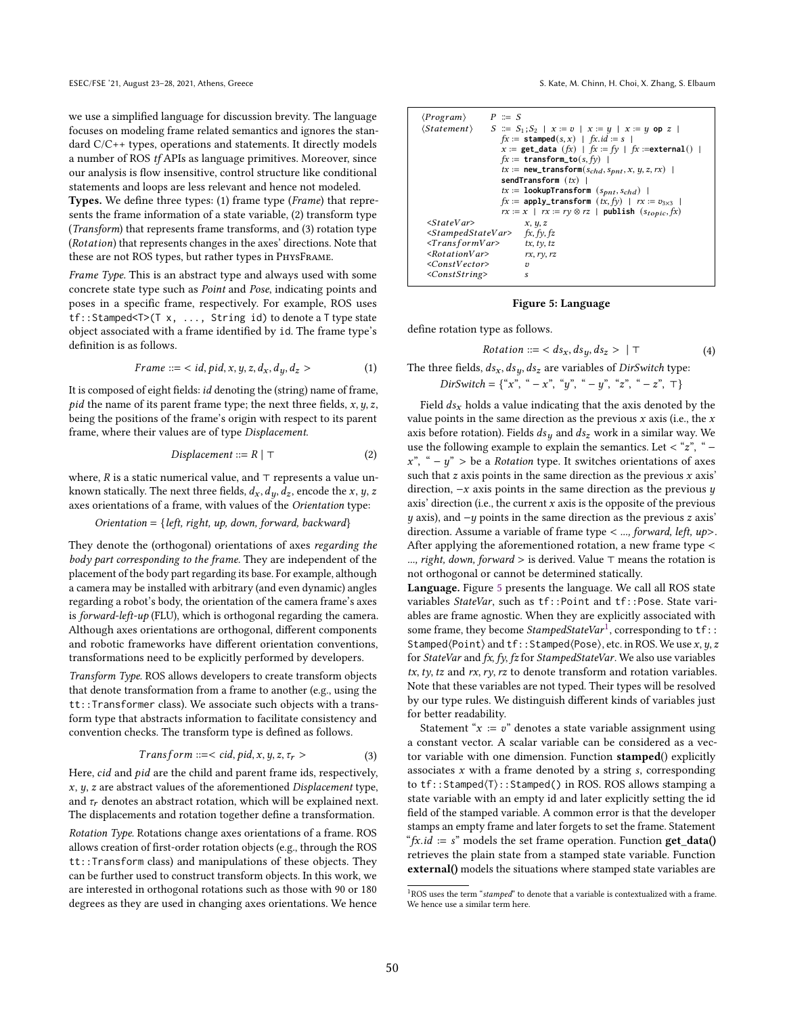we use a simplified language for discussion brevity. The language focuses on modeling frame related semantics and ignores the standard C/C++ types, operations and statements. It directly models a number of ROS tf APIs as language primitives. Moreover, since our analysis is flow insensitive, control structure like conditional statements and loops are less relevant and hence not modeled.

Types. We define three types: (1) frame type (Frame) that represents the frame information of a state variable, (2) transform type (Transform) that represents frame transforms, and (3) rotation type (Rotation) that represents changes in the axes' directions. Note that these are not ROS types, but rather types in PhysFrame.

Frame Type. This is an abstract type and always used with some concrete state type such as Point and Pose, indicating points and poses in a specific frame, respectively. For example, ROS uses tf::Stamped<T>(T x, ..., String id) to denote a T type state object associated with a frame identified by id. The frame type's definition is as follows.

$$
Frame ::= < id, pid, x, y, z, d_x, d_y, d_z > \tag{1}
$$

It is composed of eight fields: *id* denoting the (string) name of frame, pid the name of its parent frame type; the next three fields,  $x, y, z$ , being the positions of the frame's origin with respect to its parent frame, where their values are of type Displacement.

$$
Displacement ::= R | \top \tag{2}
$$

where,  $R$  is a static numerical value, and ⊤ represents a value unknown statically. The next three fields,  $d_x$ ,  $d_y$ ,  $d_z$ , encode the x, y, z axes orientations of a frame, with values of the Orientation type:

#### $O$ rientation = {left, right, up, down, forward, backward}

They denote the (orthogonal) orientations of axes regarding the body part corresponding to the frame. They are independent of the placement of the body part regarding its base. For example, although a camera may be installed with arbitrary (and even dynamic) angles regarding a robot's body, the orientation of the camera frame's axes is forward-left-up (FLU), which is orthogonal regarding the camera. Although axes orientations are orthogonal, different components and robotic frameworks have different orientation conventions, transformations need to be explicitly performed by developers.

Transform Type. ROS allows developers to create transform objects that denote transformation from a frame to another (e.g., using the tt::Transformer class). We associate such objects with a transform type that abstracts information to facilitate consistency and convention checks. The transform type is defined as follows.

$$
Transform ::= < cid, pid, x, y, z, \tau_r > \tag{3}
$$

Here, cid and pid are the child and parent frame ids, respectively,  $x, y, z$  are abstract values of the aforementioned Displacement type, and  $\tau_r$  denotes an abstract rotation, which will be explained next. The displacements and rotation together define a transformation.

Rotation Type. Rotations change axes orientations of a frame. ROS allows creation of first-order rotation objects (e.g., through the ROS tt::Transform class) and manipulations of these objects. They can be further used to construct transform objects. In this work, we are interested in orthogonal rotations such as those with 90 or 180 degrees as they are used in changing axes orientations. We hence

<span id="page-5-0"></span>

| $\langle Program \rangle$<br>$P \cong S$                                                                                                                                                 | $\langle Statement \rangle$ $S \coloneqq S_1; S_2   x := v   x := y   x := y$ op z<br>$fx :=$ stamped $(s, x)$   $fx.id := s$  <br>x := get_data $(fx)$   $fx := fy$   $fx$ := external()  <br>$fx :=$ transform_to(s, $fy$ )  <br>$tx := new\_transform(s_{chd}, s_{bnt}, x, y, z, rx)$  <br>sendTransform $(tx)$  <br>$tx :=$ lookupTransform $(s_{pnt}, s_{chd})$  <br>$fx := \text{apply\_transform}$ $(tx, fy)$   $rx := v_{3\times3}$ |
|------------------------------------------------------------------------------------------------------------------------------------------------------------------------------------------|---------------------------------------------------------------------------------------------------------------------------------------------------------------------------------------------------------------------------------------------------------------------------------------------------------------------------------------------------------------------------------------------------------------------------------------------|
| $<$ StateVar $>$<br>$\langle$ StampedStateVar> fx, fy, fz<br>$\langle TransformVar \rangle$ tx, ty, tz<br>< RotationVar><br>$\langle ConstVector \rangle$<br><conststring></conststring> | $rx := x \mid rx := ry \otimes rz \mid \text{ publish } (s_{topic}, fx)$<br>x, y, z<br>rx, ry, rz<br>$\overline{\Omega}$<br>s                                                                                                                                                                                                                                                                                                               |

Figure 5: Language

define rotation type as follows.

$$
Rotation ::= \langle ds_x, ds_y, ds_z \rangle \mid \top \tag{4}
$$

The three fields,  $ds_x$ ,  $ds_y$ ,  $ds_z$  are variables of DirSwitch type:  $DirSwitch = \{``x", ``-x", ``y", ``-y", ``z", ``-z", \top\}$ 

Field  $ds_x$  holds a value indicating that the axis denoted by the value points in the same direction as the previous  $x$  axis (i.e., the  $x$ axis before rotation). Fields  $ds_y$  and  $ds_z$  work in a similar way. We use the following example to explain the semantics. Let < "z", " –  $x^{"}, " - y" >$  be a *Rotation* type. It switches orientations of axes such that  $z$  axis points in the same direction as the previous  $x$  axis' direction,  $-x$  axis points in the same direction as the previous  $y$ axis' direction (i.e., the current  $x$  axis is the opposite of the previous  $y$  axis), and  $-y$  points in the same direction as the previous  $z$  axis' direction. Assume a variable of frame type  $\lt$  ..., forward, left, up $\gt$ . After applying the aforementioned rotation, a new frame type < ..., right, down, forward > is derived. Value ⊤ means the rotation is not orthogonal or cannot be determined statically.

Language. Figure [5](#page-5-0) presents the language. We call all ROS state variables StateVar, such as tf::Point and tf::Pose. State variables are frame agnostic. When they are explicitly associated with some frame, they become StampedStateVar<sup>[1](#page-5-1)</sup>, corresponding to  $\mathsf{tf}$ : Stamped $\langle$ Point $\rangle$  and tf::Stamped $\langle$ Pose $\rangle$ , etc. in ROS. We use  $x, y, z$ for StateVar and fx, fy, fz for StampedStateVar. We also use variables  $tx, ty, tz$  and  $rx, ry, rz$  to denote transform and rotation variables. Note that these variables are not typed. Their types will be resolved by our type rules. We distinguish different kinds of variables just for better readability.

Statement " $x := v$ " denotes a state variable assignment using a constant vector. A scalar variable can be considered as a vector variable with one dimension. Function stamped() explicitly associates  $x$  with a frame denoted by a string  $s$ , corresponding to tf::Stamped⟨T⟩::Stamped() in ROS. ROS allows stamping a state variable with an empty id and later explicitly setting the id field of the stamped variable. A common error is that the developer stamps an empty frame and later forgets to set the frame. Statement " $fx.id := s$ " models the set frame operation. Function  $get_data()$ retrieves the plain state from a stamped state variable. Function external() models the situations where stamped state variables are

<span id="page-5-1"></span> $1$ ROS uses the term "stamped" to denote that a variable is contextualized with a frame. We hence use a similar term here.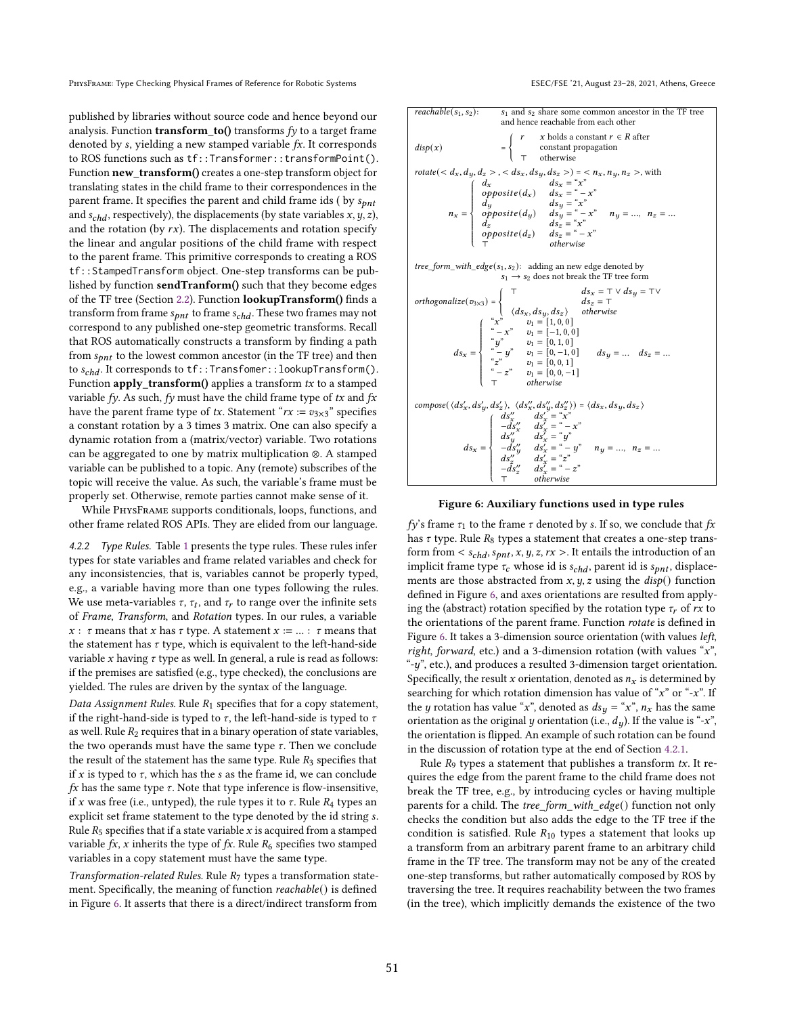published by libraries without source code and hence beyond our analysis. Function **transform\_to()** transforms  $fy$  to a target frame denoted by s, yielding a new stamped variable  $fx$ . It corresponds to ROS functions such as tf::Transformer::transformPoint(). Function new transform() creates a one-step transform object for translating states in the child frame to their correspondences in the parent frame. It specifies the parent and child frame ids (by  $s_{pnt}$ and  $s_{chd}$ , respectively), the displacements (by state variables  $x, y, z$ ), and the rotation (by  $rx$ ). The displacements and rotation specify the linear and angular positions of the child frame with respect to the parent frame. This primitive corresponds to creating a ROS tf::StampedTransform object. One-step transforms can be published by function sendTranform() such that they become edges of the TF tree (Section [2.2\)](#page-2-1). Function lookupTransform() finds a transform from frame  $s_{pnt}$  to frame  $s_{chd}$ . These two frames may not correspond to any published one-step geometric transforms. Recall that ROS automatically constructs a transform by finding a path from  $s_{\text{on }t}$  to the lowest common ancestor (in the TF tree) and then to  $s_{chd}$ . It corresponds to  $\text{tf::Transform}$ : Transfomer:: lookupTransform(). Function  $apply\_transform()$  applies a transform  $tx$  to a stamped variable fy. As such, fy must have the child frame type of  $tx$  and  $fx$ have the parent frame type of tx. Statement " $rx := v_{3\times 3}$ " specifies a constant rotation by a 3 times 3 matrix. One can also specify a dynamic rotation from a (matrix/vector) variable. Two rotations can be aggregated to one by matrix multiplication ⊗. A stamped variable can be published to a topic. Any (remote) subscribes of the topic will receive the value. As such, the variable's frame must be properly set. Otherwise, remote parties cannot make sense of it.

While PhysFrame supports conditionals, loops, functions, and other frame related ROS APIs. They are elided from our language.

4.2.2 Type Rules. Table [1](#page-7-0) presents the type rules. These rules infer types for state variables and frame related variables and check for any inconsistencies, that is, variables cannot be properly typed, e.g., a variable having more than one types following the rules. We use meta-variables  $\tau$ ,  $\tau_t$ , and  $\tau_r$  to range over the infinite sets of Frame, Transform, and Rotation types. In our rules, a variable  $x: \tau$  means that x has  $\tau$  type. A statement  $x := ... : \tau$  means that the statement has  $\tau$  type, which is equivalent to the left-hand-side variable  $x$  having  $\tau$  type as well. In general, a rule is read as follows: if the premises are satisfied (e.g., type checked), the conclusions are yielded. The rules are driven by the syntax of the language.

Data Assignment Rules. Rule  $R_1$  specifies that for a copy statement, if the right-hand-side is typed to  $\tau$ , the left-hand-side is typed to  $\tau$ as well. Rule  $R_2$  requires that in a binary operation of state variables, the two operands must have the same type  $\tau$ . Then we conclude the result of the statement has the same type. Rule  $R_3$  specifies that if x is typed to  $\tau$ , which has the s as the frame id, we can conclude  $fx$  has the same type  $\tau$ . Note that type inference is flow-insensitive, if x was free (i.e., untyped), the rule types it to  $\tau$ . Rule  $R_4$  types an explicit set frame statement to the type denoted by the id string . Rule  $R_5$  specifies that if a state variable  $x$  is acquired from a stamped variable  $fx$ , x inherits the type of  $fx$ . Rule  $R_6$  specifies two stamped variables in a copy statement must have the same type.

Transformation-related Rules. Rule  $R_7$  types a transformation statement. Specifically, the meaning of function reachable() is defined in Figure [6.](#page-6-0) It asserts that there is a direct/indirect transform from

<span id="page-6-0"></span>

Figure 6: Auxiliary functions used in type rules

fy's frame  $\tau_1$  to the frame  $\tau$  denoted by s. If so, we conclude that fx has  $\tau$  type. Rule  $R_8$  types a statement that creates a one-step transform from  $\leq s_{chd}, s_{pnt}, x, y, z, rx >$ . It entails the introduction of an implicit frame type  $\tau_c$  whose id is  $s_{chd}$ , parent id is  $s_{pnt}$ , displacements are those abstracted from  $x, y, z$  using the  $disp()$  function defined in Figure [6,](#page-6-0) and axes orientations are resulted from applying the (abstract) rotation specified by the rotation type  $\tau_r$  of rx to the orientations of the parent frame. Function rotate is defined in Figure [6.](#page-6-0) It takes a 3-dimension source orientation (with values left, right, forward, etc.) and a 3-dimension rotation (with values " $x$ ", "- $y$ ", etc.), and produces a resulted 3-dimension target orientation. Specifically, the result x orientation, denoted as  $n<sub>x</sub>$  is determined by searching for which rotation dimension has value of " $x$ " or "- $x$ ". If the *y* rotation has value "*x*", denoted as  $ds_u = "x"$ ,  $n_x$  has the same orientation as the original y orientation (i.e.,  $d<sub>u</sub>$ ). If the value is "-x", the orientation is flipped. An example of such rotation can be found in the discussion of rotation type at the end of Section [4.2.1.](#page-4-1)

Rule  $R_9$  types a statement that publishes a transform  $tx$ . It requires the edge from the parent frame to the child frame does not break the TF tree, e.g., by introducing cycles or having multiple parents for a child. The tree\_form\_with\_edge() function not only checks the condition but also adds the edge to the TF tree if the condition is satisfied. Rule  $R_{10}$  types a statement that looks up a transform from an arbitrary parent frame to an arbitrary child frame in the TF tree. The transform may not be any of the created one-step transforms, but rather automatically composed by ROS by traversing the tree. It requires reachability between the two frames (in the tree), which implicitly demands the existence of the two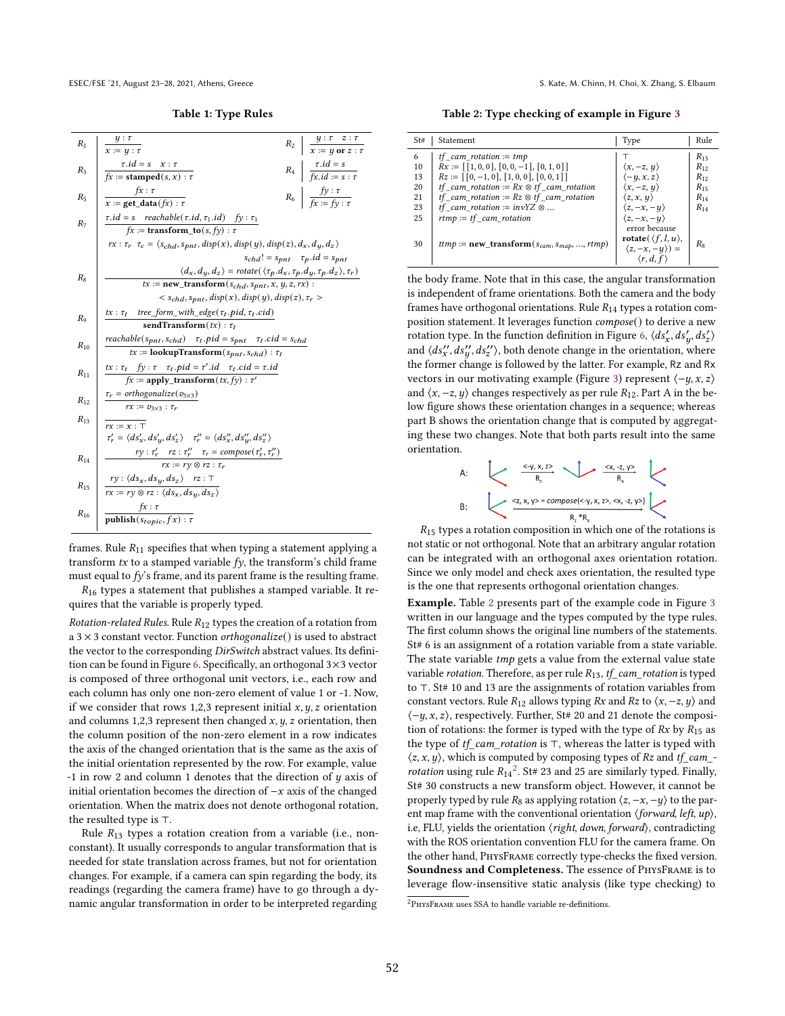<span id="page-7-0"></span>ESEC/FSE '21, August 23-28, 2021, Athens, Greece S. Kate, M. Chinn, H. Choi, X. Zhang, S. Elbaum

Table 1: Type Rules



frames. Rule  $R_{11}$  specifies that when typing a statement applying a transform  $tx$  to a stamped variable  $fy$ , the transform's child frame must equal to  $f\dot{y}$ 's frame, and its parent frame is the resulting frame.

 $R_{16}$  types a statement that publishes a stamped variable. It requires that the variable is properly typed.

*Rotation-related Rules.* Rule  $R_{12}$  types the creation of a rotation from a  $3 \times 3$  constant vector. Function *orthogonalize*() is used to abstract the vector to the corresponding DirSwitch abstract values. Its definition can be found in Figure [6.](#page-6-0) Specifically, an orthogonal 3×3 vector is composed of three orthogonal unit vectors, i.e., each row and each column has only one non-zero element of value 1 or -1. Now, if we consider that rows 1,2,3 represent initial  $x, y, z$  orientation and columns 1,2,3 represent then changed  $x$ ,  $y$ ,  $z$  orientation, then the column position of the non-zero element in a row indicates the axis of the changed orientation that is the same as the axis of the initial orientation represented by the row. For example, value  $-1$  in row 2 and column 1 denotes that the direction of  $y$  axis of initial orientation becomes the direction of  $-x$  axis of the changed orientation. When the matrix does not denote orthogonal rotation, the resulted type is ⊤.

Rule  $R_{13}$  types a rotation creation from a variable (i.e., nonconstant). It usually corresponds to angular transformation that is needed for state translation across frames, but not for orientation changes. For example, if a camera can spin regarding the body, its readings (regarding the camera frame) have to go through a dynamic angular transformation in order to be interpreted regarding

<span id="page-7-1"></span>Table 2: Type checking of example in Figure [3](#page-3-0)

| St# | Statement                                              | Type                                | Rule     |
|-----|--------------------------------------------------------|-------------------------------------|----------|
| 6   | <i>tf</i> cam rotation := $tmp$                        |                                     | $R_{13}$ |
| 10  | $Rx := \lceil [1, 0, 0], [0, 0, -1], [0, 1, 0] \rceil$ | $\langle x, -z, y \rangle$          | $R_{12}$ |
| 13  | $Rz := [0, -1, 0], [1, 0, 0], [0, 0, 1]]$              | $\langle -y, x, z \rangle$          | $R_{12}$ |
| 20  | <i>if</i> cam rotation := $Rx \otimes tf$ cam rotation | $\langle x, -z, y \rangle$          | $R_{15}$ |
| 21  | <i>tf</i> cam rotation := $Rz \otimes tf$ cam rotation | $\langle z, x, y \rangle$           | $R_{14}$ |
| 23  | <i>if</i> cam rotation := $invYZ \otimes $             | $\langle z, -x, -y \rangle$         | $R_{14}$ |
| 25  | $rtmp := tf$ cam rotation                              | $\langle z, -x, -y \rangle$         |          |
|     |                                                        | error because                       |          |
| 30  | $ttmp := new\_transform(s_{cam}, s_{map}, , rtmp)$     | rotate( $\langle f, l, u \rangle$ , | $R_8$    |
|     |                                                        | $\langle z, -x, -y \rangle$ =       |          |
|     |                                                        | $\langle r, d, f \rangle$           |          |

the body frame. Note that in this case, the angular transformation is independent of frame orientations. Both the camera and the body frames have orthogonal orientations. Rule  $R_{14}$  types a rotation composition statement. It leverages function compose() to derive a new rotation type. In the function definition in Figure [6,](#page-6-0)  $\langle ds'_x, ds'_y, ds'_z \rangle$ and  $\langle ds^{\prime\prime}_x,ds^{\prime\prime}_y,ds^{\prime\prime}_z\rangle$ , both denote change in the orientation, where the former change is followed by the latter. For example, Rz and Rx vectors in our motivating example (Figure [3\)](#page-3-0) represent  $\langle -y, x, z \rangle$ and  $\langle x, -z, y \rangle$  changes respectively as per rule  $R_{12}$ . Part A in the below figure shows these orientation changes in a sequence; whereas part B shows the orientation change that is computed by aggregating these two changes. Note that both parts result into the same orientation.



 $R_{15}$  types a rotation composition in which one of the rotations is not static or not orthogonal. Note that an arbitrary angular rotation can be integrated with an orthogonal axes orientation rotation. Since we only model and check axes orientation, the resulted type is the one that represents orthogonal orientation changes.

Example. Table [2](#page-7-1) presents part of the example code in Figure [3](#page-3-0) written in our language and the types computed by the type rules. The first column shows the original line numbers of the statements. St# 6 is an assignment of a rotation variable from a state variable. The state variable *tmp* gets a value from the external value state variable rotation. Therefore, as per rule  $R_{13}$ ,  $tf\_cam\_rotation$  is typed to ⊤. St# 10 and 13 are the assignments of rotation variables from constant vectors. Rule  $R_{12}$  allows typing Rx and Rz to  $\langle x, -z, y \rangle$  and  $\langle -y, x, z \rangle$ , respectively. Further, St# 20 and 21 denote the composition of rotations: the former is typed with the type of  $Rx$  by  $R_{15}$  as the type of tf\_cam\_rotation is ⊤, whereas the latter is typed with  $\langle z, x, y \rangle$ , which is computed by composing types of Rz and tf\_cam\_*rotation* using rule  $R_{14}^2$  $R_{14}^2$ . St# 23 and 25 are similarly typed. Finally, St# 30 constructs a new transform object. However, it cannot be properly typed by rule  $R_8$  as applying rotation  $\langle z, -x, -y \rangle$  to the parent map frame with the conventional orientation  $\langle forward, left, up \rangle$ , i.e, FLU, yields the orientation ⟨right, down, forward⟩, contradicting with the ROS orientation convention FLU for the camera frame. On the other hand, PhysFrame correctly type-checks the fixed version. Soundness and Completeness. The essence of PhysFrame is to leverage flow-insensitive static analysis (like type checking) to

<span id="page-7-2"></span> $^{2}$ PHYSFRAME uses SSA to handle variable re-definitions.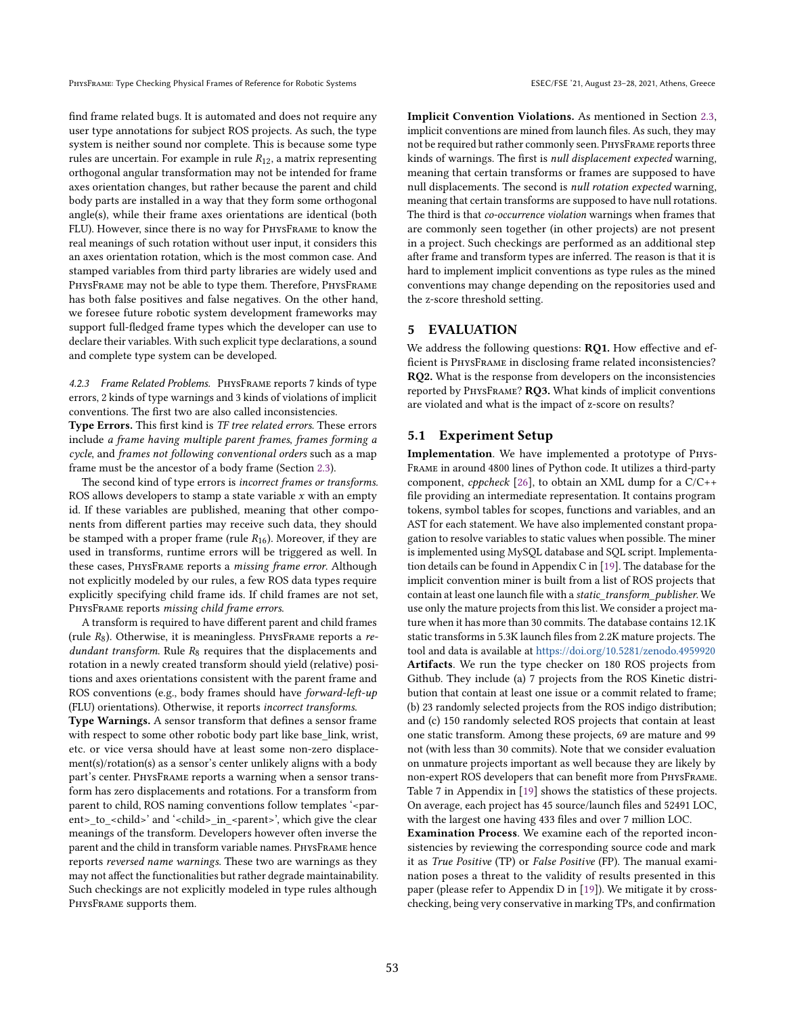PHYSFRAME: Type Checking Physical Frames of Reference for Robotic Systems ESEC/FSE '21, August 23-28, 2021, Athens, Greece

find frame related bugs. It is automated and does not require any user type annotations for subject ROS projects. As such, the type system is neither sound nor complete. This is because some type rules are uncertain. For example in rule  $R_{12}$ , a matrix representing orthogonal angular transformation may not be intended for frame axes orientation changes, but rather because the parent and child body parts are installed in a way that they form some orthogonal angle(s), while their frame axes orientations are identical (both FLU). However, since there is no way for PhysFrame to know the real meanings of such rotation without user input, it considers this an axes orientation rotation, which is the most common case. And stamped variables from third party libraries are widely used and PHYSFRAME may not be able to type them. Therefore, PHYSFRAME has both false positives and false negatives. On the other hand, we foresee future robotic system development frameworks may

support full-fledged frame types which the developer can use to declare their variables. With such explicit type declarations, a sound and complete type system can be developed.

<span id="page-8-0"></span>4.2.3 Frame Related Problems. PhysFrame reports 7 kinds of type errors, 2 kinds of type warnings and 3 kinds of violations of implicit conventions. The first two are also called inconsistencies.

Type Errors. This first kind is TF tree related errors. These errors include a frame having multiple parent frames, frames forming a cycle, and frames not following conventional orders such as a map frame must be the ancestor of a body frame (Section [2.3\)](#page-2-2).

The second kind of type errors is incorrect frames or transforms. ROS allows developers to stamp a state variable  $x$  with an empty id. If these variables are published, meaning that other components from different parties may receive such data, they should be stamped with a proper frame (rule  $R_{16}$ ). Moreover, if they are used in transforms, runtime errors will be triggered as well. In these cases, PhysFrame reports a missing frame error. Although not explicitly modeled by our rules, a few ROS data types require explicitly specifying child frame ids. If child frames are not set, PHYSFRAME reports missing child frame errors.

A transform is required to have different parent and child frames (rule  $R_8$ ). Otherwise, it is meaningless. PHYSFRAME reports a redundant transform. Rule  $R_8$  requires that the displacements and rotation in a newly created transform should yield (relative) positions and axes orientations consistent with the parent frame and ROS conventions (e.g., body frames should have forward-left-up (FLU) orientations). Otherwise, it reports incorrect transforms.

Type Warnings. A sensor transform that defines a sensor frame with respect to some other robotic body part like base\_link, wrist, etc. or vice versa should have at least some non-zero displacement(s)/rotation(s) as a sensor's center unlikely aligns with a body part's center. PhysFrame reports a warning when a sensor transform has zero displacements and rotations. For a transform from parent to child, ROS naming conventions follow templates '<parent>\_to\_<child>' and '<child>\_in\_<parent>', which give the clear meanings of the transform. Developers however often inverse the parent and the child in transform variable names. PhysFrame hence reports reversed name warnings. These two are warnings as they may not affect the functionalities but rather degrade maintainability. Such checkings are not explicitly modeled in type rules although PhysFrame supports them.

Implicit Convention Violations. As mentioned in Section [2.3,](#page-2-2) implicit conventions are mined from launch files. As such, they may not be required but rather commonly seen. PhysFrame reports three kinds of warnings. The first is null displacement expected warning, meaning that certain transforms or frames are supposed to have null displacements. The second is null rotation expected warning, meaning that certain transforms are supposed to have null rotations. The third is that co-occurrence violation warnings when frames that are commonly seen together (in other projects) are not present in a project. Such checkings are performed as an additional step after frame and transform types are inferred. The reason is that it is hard to implement implicit conventions as type rules as the mined conventions may change depending on the repositories used and the z-score threshold setting.

# 5 EVALUATION

We address the following questions: **RQ1.** How effective and efficient is PhysFrame in disclosing frame related inconsistencies? RQ2. What is the response from developers on the inconsistencies reported by PhysFrame? RQ3. What kinds of implicit conventions are violated and what is the impact of z-score on results?

# 5.1 Experiment Setup

Implementation. We have implemented a prototype of Phys-Frame in around 4800 lines of Python code. It utilizes a third-party component, cppcheck [\[26\]](#page-11-16), to obtain an XML dump for a  $C/C++$ file providing an intermediate representation. It contains program tokens, symbol tables for scopes, functions and variables, and an AST for each statement. We have also implemented constant propagation to resolve variables to static values when possible. The miner is implemented using MySQL database and SQL script. Implementation details can be found in Appendix C in [\[19\]](#page-11-1). The database for the implicit convention miner is built from a list of ROS projects that contain at least one launch file with a static\_transform\_publisher. We use only the mature projects from this list. We consider a project mature when it has more than 30 commits. The database contains 12.1K static transforms in 5.3K launch files from 2.2K mature projects. The tool and data is available at <https://doi.org/10.5281/zenodo.4959920> Artifacts. We run the type checker on 180 ROS projects from Github. They include (a) 7 projects from the ROS Kinetic distribution that contain at least one issue or a commit related to frame; (b) 23 randomly selected projects from the ROS indigo distribution; and (c) 150 randomly selected ROS projects that contain at least one static transform. Among these projects, 69 are mature and 99 not (with less than 30 commits). Note that we consider evaluation on unmature projects important as well because they are likely by non-expert ROS developers that can benefit more from PhysFrame. Table 7 in Appendix in [\[19\]](#page-11-1) shows the statistics of these projects. On average, each project has 45 source/launch files and 52491 LOC, with the largest one having 433 files and over 7 million LOC.

Examination Process. We examine each of the reported inconsistencies by reviewing the corresponding source code and mark it as True Positive (TP) or False Positive (FP). The manual examination poses a threat to the validity of results presented in this paper (please refer to Appendix D in [\[19\]](#page-11-1)). We mitigate it by crosschecking, being very conservative in marking TPs, and confirmation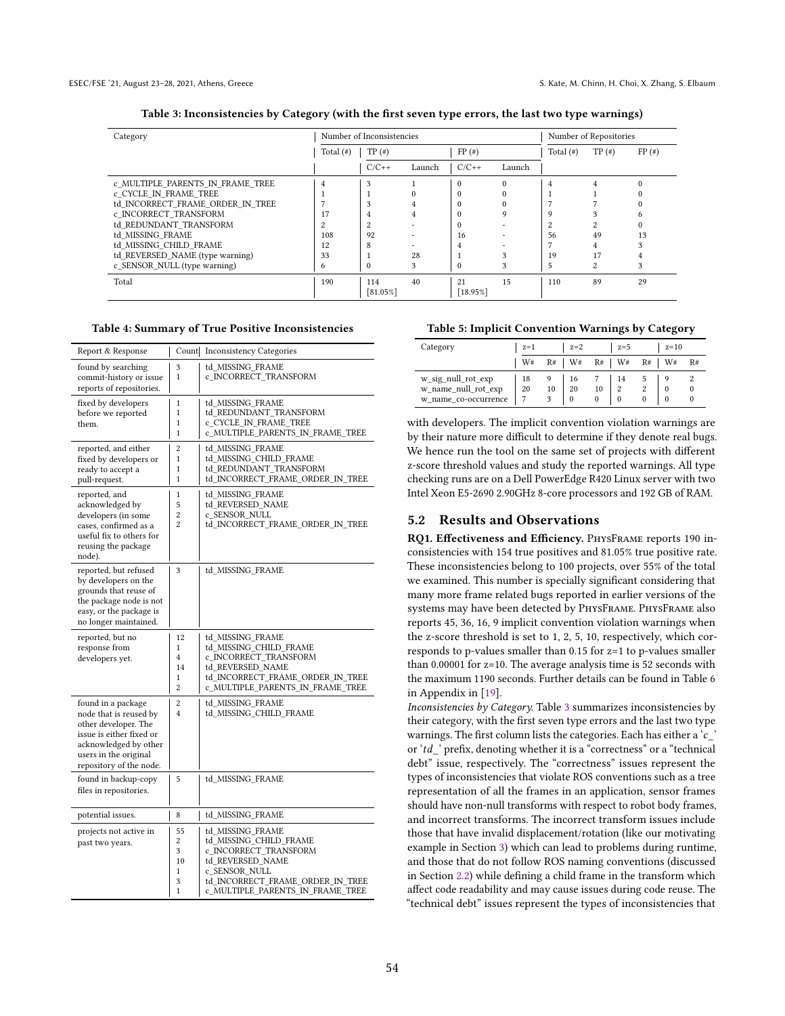<span id="page-9-0"></span>

| Category                         |              | Number of Inconsistencies |        | Number of Repositories |          |              |                |          |
|----------------------------------|--------------|---------------------------|--------|------------------------|----------|--------------|----------------|----------|
|                                  | Total $(\#)$ | $TP($ # $)$               |        | FP(#)                  |          | Total $(\#)$ | $TP(*)$        | $FP(*)$  |
|                                  |              | $C/C++$                   | Launch | $C/C++$                | Launch   |              |                |          |
| c MULTIPLE PARENTS IN FRAME TREE | 4            | 3                         |        | $\Omega$               | $\Omega$ | 4            |                | $\Omega$ |
| c CYCLE IN FRAME TREE            |              |                           |        | $\Omega$               |          |              |                |          |
| td INCORRECT FRAME ORDER IN TREE |              | 3                         |        |                        |          |              |                |          |
| c INCORRECT TRANSFORM            | 17           | 4                         | 4      | $\Omega$               | Q        | O            |                |          |
| td REDUNDANT TRANSFORM           | 2            | 2                         |        | $\Omega$               |          |              | $\overline{c}$ |          |
| td MISSING FRAME                 | 108          | 92                        |        | 16                     |          | 56           | 49             | 13       |
| td MISSING CHILD FRAME           | 12           | 8                         |        | 4                      |          |              | 4              |          |
| td REVERSED NAME (type warning)  | 33           |                           | 28     |                        | 3        | 19           | 17             |          |
| c SENSOR NULL (type warning)     | 6            | $\theta$                  | 3      | $\Omega$               |          | 5            | $\overline{2}$ | 3        |
| Total                            | 190          | 114                       | 40     | 21                     | 15       | 110          | 89             | 29       |
|                                  |              | [81.05%]                  |        | [18.95%]               |          |              |                |          |

# Table 3: Inconsistencies by Category (with the first seven type errors, the last two type warnings)

#### <span id="page-9-1"></span>Table 4: Summary of True Positive Inconsistencies

| Report & Response                                                                                                                                                             | Count                             | <b>Inconsistency Categories</b>                                                                                                                                                  |
|-------------------------------------------------------------------------------------------------------------------------------------------------------------------------------|-----------------------------------|----------------------------------------------------------------------------------------------------------------------------------------------------------------------------------|
| found by searching<br>commit-history or issue<br>reports of repositories.                                                                                                     | 3<br>1                            | td MISSING FRAME<br>c_INCORRECT_TRANSFORM                                                                                                                                        |
| fixed by developers<br>before we reported<br>them.                                                                                                                            | 1<br>1<br>1<br>1                  | td MISSING FRAME<br>td_REDUNDANT_TRANSFORM<br>c_CYCLE_IN_FRAME_TREE<br>c_MULTIPLE_PARENTS_IN_FRAME_TREE                                                                          |
| reported, and either<br>fixed by developers or<br>ready to accept a<br>pull-request.                                                                                          | $\overline{2}$<br>1<br>1<br>1     | td MISSING FRAME<br>td MISSING CHILD FRAME<br>td REDUNDANT TRANSFORM<br>td_INCORRECT_FRAME_ORDER_IN_TREE                                                                         |
| reported, and<br>acknowledged by<br>developers (in some<br>cases, confirmed as a<br>useful fix to others for<br>reusing the package<br>node).                                 | 1<br>5<br>$\overline{2}$<br>2     | td_MISSING_FRAME<br>td REVERSED NAME<br>c SENSOR NULL<br>td INCORRECT FRAME ORDER IN TREE                                                                                        |
| reported, but refused<br>by developers on the<br>grounds that reuse of<br>the package node is not<br>easy, or the package is<br>no longer maintained.                         | 3                                 | td_MISSING_FRAME                                                                                                                                                                 |
| reported, but no<br>response from<br>developers yet.                                                                                                                          | 12<br>1<br>4<br>14<br>1<br>2      | td_MISSING_FRAME<br>td_MISSING_CHILD_FRAME<br>c_INCORRECT_TRANSFORM<br>td REVERSED NAME<br>td_INCORRECT_FRAME_ORDER_IN_TREE<br>c_MULTIPLE_PARENTS_IN_FRAME_TREE                  |
| found in a package<br>node that is reused by<br>other developer. The<br>issue is either fixed or<br>acknowledged by other<br>users in the original<br>repository of the node. | $\overline{2}$<br>$\overline{4}$  | td MISSING FRAME<br>td_MISSING_CHILD_FRAME                                                                                                                                       |
| found in backup-copy<br>files in repositories.                                                                                                                                | 5                                 | td_MISSING_FRAME                                                                                                                                                                 |
| potential issues.                                                                                                                                                             | 8                                 | td_MISSING_FRAME                                                                                                                                                                 |
| projects not active in<br>past two years.                                                                                                                                     | 55<br>2<br>3<br>10<br>1<br>3<br>1 | td MISSING FRAME<br>td_MISSING_CHILD_FRAME<br>c_INCORRECT_TRANSFORM<br>td_REVERSED_NAME<br>c SENSOR NULL<br>td_INCORRECT_FRAME_ORDER_IN_TREE<br>c_MULTIPLE_PARENTS_IN_FRAME_TREE |

#### <span id="page-9-2"></span>Table 5: Implicit Convention Warnings by Category

| Category                                                          | $z=1$    |         | $z=2$          |    | $z=5$                      |    | $z=10$               |    |
|-------------------------------------------------------------------|----------|---------|----------------|----|----------------------------|----|----------------------|----|
|                                                                   | W#       | $R#$ W# |                |    | $R#$ W#                    | R# | W#                   | R# |
| w_sig_null_rot_exp<br>w_name_null_rot_exp<br>w name co-occurrence | 18<br>20 | 10      | 20<br>$\Omega$ | 10 | $\overline{2}$<br>$\Omega$ |    | $\Omega$<br>$\Omega$ |    |

with developers. The implicit convention violation warnings are by their nature more difficult to determine if they denote real bugs. We hence run the tool on the same set of projects with different z-score threshold values and study the reported warnings. All type checking runs are on a Dell PowerEdge R420 Linux server with two Intel Xeon E5-2690 2.90GHz 8-core processors and 192 GB of RAM.

## 5.2 Results and Observations

RQ1. Effectiveness and Efficiency. PhysFrame reports 190 inconsistencies with 154 true positives and 81.05% true positive rate. These inconsistencies belong to 100 projects, over 55% of the total we examined. This number is specially significant considering that many more frame related bugs reported in earlier versions of the systems may have been detected by PhysFrame. PhysFrame also reports 45, 36, 16, 9 implicit convention violation warnings when the z-score threshold is set to 1, 2, 5, 10, respectively, which corresponds to p-values smaller than 0.15 for z=1 to p-values smaller than 0.00001 for z=10. The average analysis time is 52 seconds with the maximum 1190 seconds. Further details can be found in Table 6 in Appendix in [\[19\]](#page-11-1).

Inconsistencies by Category. Table [3](#page-9-0) summarizes inconsistencies by their category, with the first seven type errors and the last two type warnings. The first column lists the categories. Each has either a ' $c$ <sup>-</sup> or 'td\_' prefix, denoting whether it is a "correctness" or a "technical debt" issue, respectively. The "correctness" issues represent the types of inconsistencies that violate ROS conventions such as a tree representation of all the frames in an application, sensor frames should have non-null transforms with respect to robot body frames, and incorrect transforms. The incorrect transform issues include those that have invalid displacement/rotation (like our motivating example in Section [3\)](#page-3-1) which can lead to problems during runtime, and those that do not follow ROS naming conventions (discussed in Section [2.2\)](#page-2-1) while defining a child frame in the transform which affect code readability and may cause issues during code reuse. The "technical debt" issues represent the types of inconsistencies that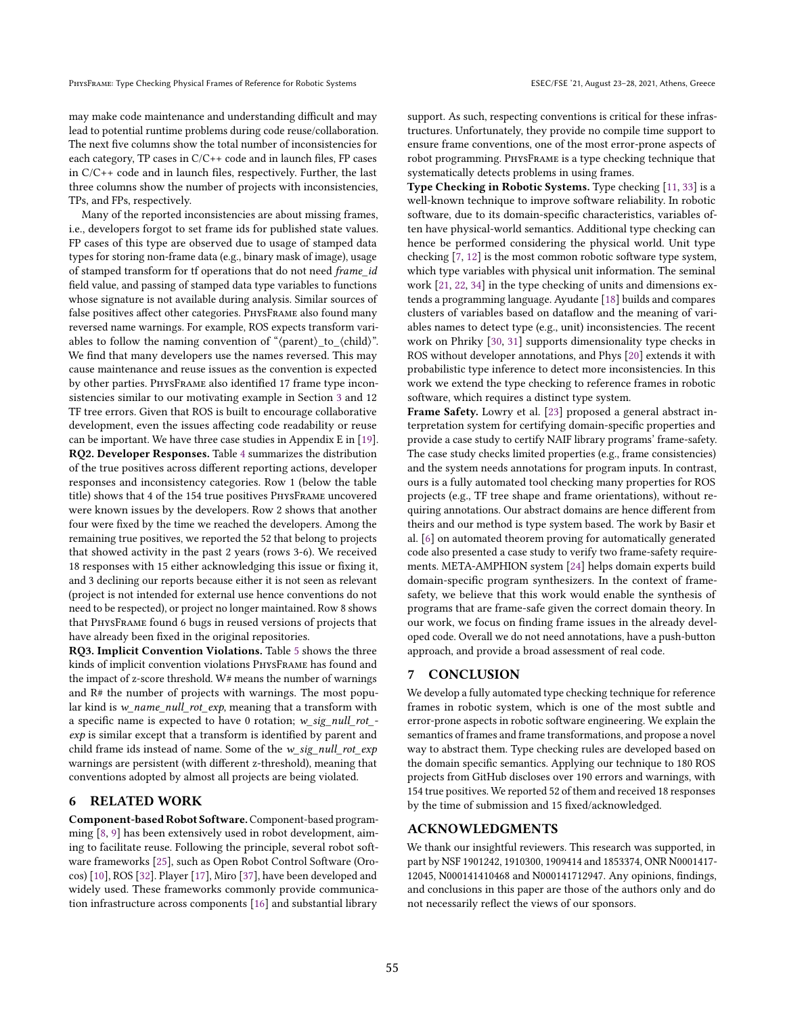may make code maintenance and understanding difficult and may lead to potential runtime problems during code reuse/collaboration. The next five columns show the total number of inconsistencies for each category, TP cases in C/C++ code and in launch files, FP cases in C/C++ code and in launch files, respectively. Further, the last three columns show the number of projects with inconsistencies, TPs, and FPs, respectively.

Many of the reported inconsistencies are about missing frames, i.e., developers forgot to set frame ids for published state values. FP cases of this type are observed due to usage of stamped data types for storing non-frame data (e.g., binary mask of image), usage of stamped transform for tf operations that do not need frame\_id field value, and passing of stamped data type variables to functions whose signature is not available during analysis. Similar sources of false positives affect other categories. PhysFrame also found many reversed name warnings. For example, ROS expects transform variables to follow the naming convention of " $\langle parent \rangle_t$  to  $\langle child \rangle$ ". We find that many developers use the names reversed. This may cause maintenance and reuse issues as the convention is expected by other parties. PhysFrame also identified 17 frame type inconsistencies similar to our motivating example in Section [3](#page-3-1) and 12 TF tree errors. Given that ROS is built to encourage collaborative development, even the issues affecting code readability or reuse can be important. We have three case studies in Appendix E in [\[19\]](#page-11-1). RQ2. Developer Responses. Table [4](#page-9-1) summarizes the distribution of the true positives across different reporting actions, developer responses and inconsistency categories. Row 1 (below the table title) shows that 4 of the 154 true positives PhysFrame uncovered were known issues by the developers. Row 2 shows that another four were fixed by the time we reached the developers. Among the remaining true positives, we reported the 52 that belong to projects that showed activity in the past 2 years (rows 3-6). We received 18 responses with 15 either acknowledging this issue or fixing it, and 3 declining our reports because either it is not seen as relevant (project is not intended for external use hence conventions do not need to be respected), or project no longer maintained. Row 8 shows that PhysFrame found 6 bugs in reused versions of projects that have already been fixed in the original repositories.

RQ3. Implicit Convention Violations. Table [5](#page-9-2) shows the three kinds of implicit convention violations PhysFrame has found and the impact of z-score threshold. W# means the number of warnings and R# the number of projects with warnings. The most popular kind is  $w$ \_name\_null\_rot\_exp, meaning that a transform with a specific name is expected to have 0 rotation; w\_sig\_null\_rot\_ exp is similar except that a transform is identified by parent and child frame ids instead of name. Some of the  $w\_sig\_null\_rot\_exp$ warnings are persistent (with different z-threshold), meaning that conventions adopted by almost all projects are being violated.

## 6 RELATED WORK

Component-based Robot Software. Component-based programming [\[8,](#page-11-17) [9\]](#page-11-18) has been extensively used in robot development, aiming to facilitate reuse. Following the principle, several robot software frameworks [\[25\]](#page-11-19), such as Open Robot Control Software (Orocos) [\[10\]](#page-11-20), ROS [\[32\]](#page-11-2). Player [\[17\]](#page-11-21), Miro [\[37\]](#page-11-22), have been developed and widely used. These frameworks commonly provide communication infrastructure across components [\[16\]](#page-11-23) and substantial library

support. As such, respecting conventions is critical for these infrastructures. Unfortunately, they provide no compile time support to ensure frame conventions, one of the most error-prone aspects of robot programming. PhysFrame is a type checking technique that systematically detects problems in using frames.

Type Checking in Robotic Systems. Type checking [\[11,](#page-11-24) [33\]](#page-11-25) is a well-known technique to improve software reliability. In robotic software, due to its domain-specific characteristics, variables often have physical-world semantics. Additional type checking can hence be performed considering the physical world. Unit type checking [\[7,](#page-11-26) [12\]](#page-11-27) is the most common robotic software type system, which type variables with physical unit information. The seminal work [\[21,](#page-11-28) [22,](#page-11-29) [34\]](#page-11-30) in the type checking of units and dimensions extends a programming language. Ayudante [\[18\]](#page-11-31) builds and compares clusters of variables based on dataflow and the meaning of variables names to detect type (e.g., unit) inconsistencies. The recent work on Phriky [\[30,](#page-11-32) [31\]](#page-11-33) supports dimensionality type checks in ROS without developer annotations, and Phys [\[20\]](#page-11-34) extends it with probabilistic type inference to detect more inconsistencies. In this work we extend the type checking to reference frames in robotic software, which requires a distinct type system.

Frame Safety. Lowry et al. [\[23\]](#page-11-35) proposed a general abstract interpretation system for certifying domain-specific properties and provide a case study to certify NAIF library programs' frame-safety. The case study checks limited properties (e.g., frame consistencies) and the system needs annotations for program inputs. In contrast, ours is a fully automated tool checking many properties for ROS projects (e.g., TF tree shape and frame orientations), without requiring annotations. Our abstract domains are hence different from theirs and our method is type system based. The work by Basir et al. [\[6\]](#page-11-36) on automated theorem proving for automatically generated code also presented a case study to verify two frame-safety requirements. META-AMPHION system [\[24\]](#page-11-37) helps domain experts build domain-specific program synthesizers. In the context of framesafety, we believe that this work would enable the synthesis of programs that are frame-safe given the correct domain theory. In our work, we focus on finding frame issues in the already developed code. Overall we do not need annotations, have a push-button approach, and provide a broad assessment of real code.

# 7 CONCLUSION

We develop a fully automated type checking technique for reference frames in robotic system, which is one of the most subtle and error-prone aspects in robotic software engineering. We explain the semantics of frames and frame transformations, and propose a novel way to abstract them. Type checking rules are developed based on the domain specific semantics. Applying our technique to 180 ROS projects from GitHub discloses over 190 errors and warnings, with 154 true positives. We reported 52 of them and received 18 responses by the time of submission and 15 fixed/acknowledged.

## ACKNOWLEDGMENTS

We thank our insightful reviewers. This research was supported, in part by NSF 1901242, 1910300, 1909414 and 1853374, ONR N0001417- 12045, N000141410468 and N000141712947. Any opinions, findings, and conclusions in this paper are those of the authors only and do not necessarily reflect the views of our sponsors.